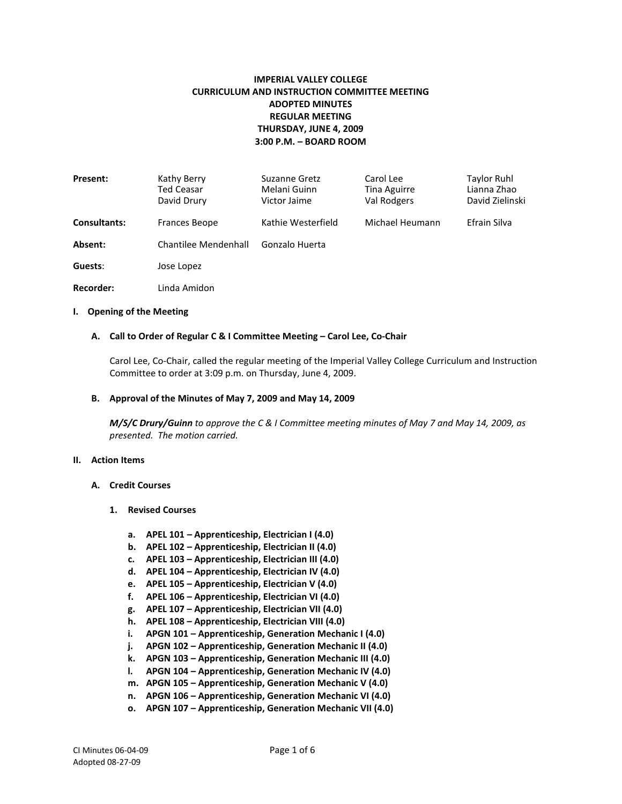# **IMPERIAL VALLEY COLLEGE CURRICULUM AND INSTRUCTION COMMITTEE MEETING ADOPTED MINUTES REGULAR MEETING THURSDAY, JUNE 4, 2009 3:00 P.M. – BOARD ROOM**

| <b>Present:</b>     | Kathy Berry<br>Ted Ceasar<br>David Drury | Suzanne Gretz<br>Melani Guinn<br>Victor Jaime | Carol Lee<br>Tina Aguirre<br>Val Rodgers | Taylor Ruhl<br>Lianna Zhao<br>David Zielinski |
|---------------------|------------------------------------------|-----------------------------------------------|------------------------------------------|-----------------------------------------------|
| <b>Consultants:</b> | Frances Beope                            | Kathie Westerfield                            | Michael Heumann                          | Efrain Silva                                  |
| Absent:             | Chantilee Mendenhall                     | Gonzalo Huerta                                |                                          |                                               |
| Guests:             | Jose Lopez                               |                                               |                                          |                                               |
| <b>Recorder:</b>    | Linda Amidon                             |                                               |                                          |                                               |

#### **I. Opening of the Meeting**

#### **A. Call to Order of Regular C & I Committee Meeting – Carol Lee, Co-Chair**

Carol Lee, Co-Chair, called the regular meeting of the Imperial Valley College Curriculum and Instruction Committee to order at 3:09 p.m. on Thursday, June 4, 2009.

#### **B. Approval of the Minutes of May 7, 2009 and May 14, 2009**

*M/S/C Drury/Guinn to approve the C & I Committee meeting minutes of May 7 and May 14, 2009, as presented. The motion carried.*

### **II. Action Items**

#### **A. Credit Courses**

- **1. Revised Courses**
	- **a. APEL 101 – Apprenticeship, Electrician I (4.0)**
	- **b. APEL 102 – Apprenticeship, Electrician II (4.0)**
	- **c. APEL 103 – Apprenticeship, Electrician III (4.0)**
	- **d. APEL 104 – Apprenticeship, Electrician IV (4.0)**
	- **e. APEL 105 – Apprenticeship, Electrician V (4.0)**
	- **f. APEL 106 – Apprenticeship, Electrician VI (4.0)**
	- **g. APEL 107 – Apprenticeship, Electrician VII (4.0)**
	- **h. APEL 108 – Apprenticeship, Electrician VIII (4.0)**
	- **i. APGN 101 – Apprenticeship, Generation Mechanic I (4.0)**
	- **j. APGN 102 – Apprenticeship, Generation Mechanic II (4.0)**
	- **k. APGN 103 – Apprenticeship, Generation Mechanic III (4.0)**
	- **l. APGN 104 – Apprenticeship, Generation Mechanic IV (4.0)**
	- **m. APGN 105 – Apprenticeship, Generation Mechanic V (4.0)**
	- **n. APGN 106 – Apprenticeship, Generation Mechanic VI (4.0)**
	- **o. APGN 107 – Apprenticeship, Generation Mechanic VII (4.0)**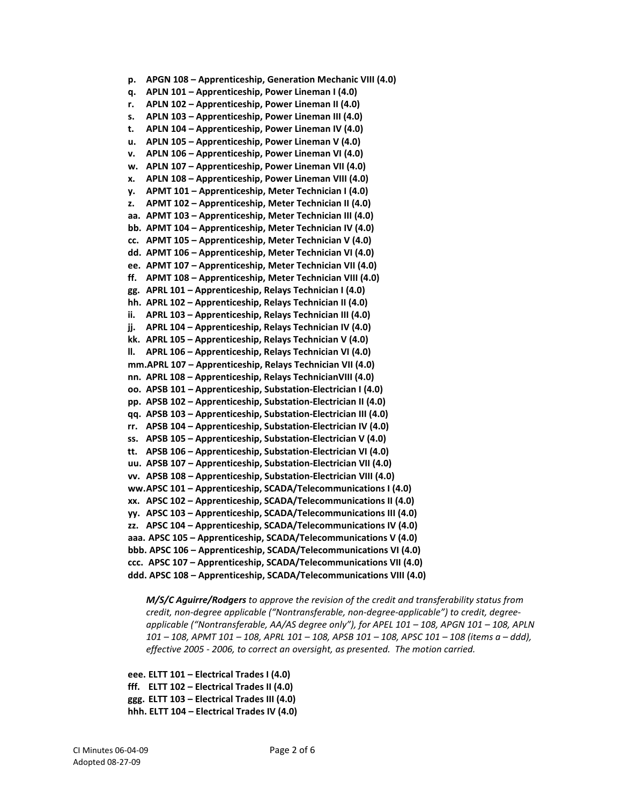```
p. APGN 108 – Apprenticeship, Generation Mechanic VIII (4.0)
q. APLN 101 – Apprenticeship, Power Lineman I (4.0)
r. APLN 102 – Apprenticeship, Power Lineman II (4.0)
s. APLN 103 – Apprenticeship, Power Lineman III (4.0)
t. APLN 104 – Apprenticeship, Power Lineman IV (4.0)
u. APLN 105 – Apprenticeship, Power Lineman V (4.0)
v. APLN 106 – Apprenticeship, Power Lineman VI (4.0)
w. APLN 107 – Apprenticeship, Power Lineman VII (4.0)
x. APLN 108 – Apprenticeship, Power Lineman VIII (4.0)
y. APMT 101 – Apprenticeship, Meter Technician I (4.0)
z. APMT 102 – Apprenticeship, Meter Technician II (4.0)
aa. APMT 103 – Apprenticeship, Meter Technician III (4.0)
bb. APMT 104 – Apprenticeship, Meter Technician IV (4.0)
cc. APMT 105 – Apprenticeship, Meter Technician V (4.0)
dd. APMT 106 – Apprenticeship, Meter Technician VI (4.0)
ee. APMT 107 – Apprenticeship, Meter Technician VII (4.0)
ff. APMT 108 – Apprenticeship, Meter Technician VIII (4.0)
gg. APRL 101 – Apprenticeship, Relays Technician I (4.0)
hh. APRL 102 – Apprenticeship, Relays Technician II (4.0)
ii. APRL 103 – Apprenticeship, Relays Technician III (4.0)
jj. APRL 104 – Apprenticeship, Relays Technician IV (4.0)
kk. APRL 105 – Apprenticeship, Relays Technician V (4.0)
ll. APRL 106 – Apprenticeship, Relays Technician VI (4.0)
mm.APRL 107 – Apprenticeship, Relays Technician VII (4.0)
nn. APRL 108 – Apprenticeship, Relays TechnicianVIII (4.0)
oo. APSB 101 – Apprenticeship, Substation-Electrician I (4.0)
pp. APSB 102 – Apprenticeship, Substation-Electrician II (4.0)
qq. APSB 103 – Apprenticeship, Substation-Electrician III (4.0)
rr. APSB 104 – Apprenticeship, Substation-Electrician IV (4.0)
ss. APSB 105 – Apprenticeship, Substation-Electrician V (4.0)
tt. APSB 106 – Apprenticeship, Substation-Electrician VI (4.0)
uu. APSB 107 – Apprenticeship, Substation-Electrician VII (4.0)
vv. APSB 108 – Apprenticeship, Substation-Electrician VIII (4.0)
ww.APSC 101 – Apprenticeship, SCADA/Telecommunications I (4.0)
xx. APSC 102 – Apprenticeship, SCADA/Telecommunications II (4.0)
yy. APSC 103 – Apprenticeship, SCADA/Telecommunications III (4.0)
zz. APSC 104 – Apprenticeship, SCADA/Telecommunications IV (4.0)
aaa. APSC 105 – Apprenticeship, SCADA/Telecommunications V (4.0)
bbb. APSC 106 – Apprenticeship, SCADA/Telecommunications VI (4.0)
ccc. APSC 107 – Apprenticeship, SCADA/Telecommunications VII (4.0)
ddd. APSC 108 – Apprenticeship, SCADA/Telecommunications VIII (4.0)
```
*M/S/C Aguirre/Rodgers to approve the revision of the credit and transferability status from credit, non-degree applicable ("Nontransferable, non-degree-applicable") to credit, degreeapplicable ("Nontransferable, AA/AS degree only"), for APEL 101 – 108, APGN 101 – 108, APLN 101 – 108, APMT 101 – 108, APRL 101 – 108, APSB 101 – 108, APSC 101 – 108 (items a – ddd), effective 2005 - 2006, to correct an oversight, as presented. The motion carried.*

**eee. ELTT 101 – Electrical Trades I (4.0) fff. ELTT 102 – Electrical Trades II (4.0) ggg. ELTT 103 – Electrical Trades III (4.0)**

**hhh. ELTT 104 – Electrical Trades IV (4.0)**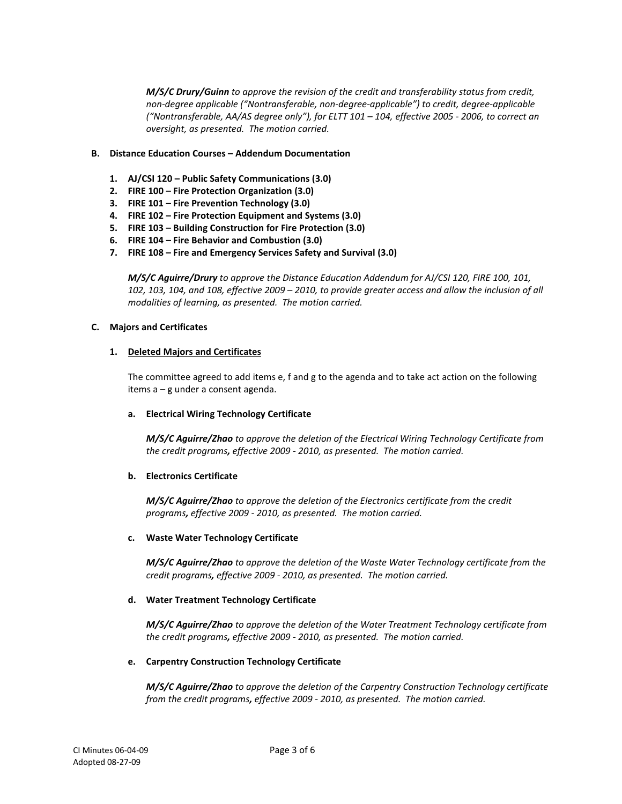*M/S/C Drury/Guinn to approve the revision of the credit and transferability status from credit, non-degree applicable ("Nontransferable, non-degree-applicable") to credit, degree-applicable ("Nontransferable, AA/AS degree only"), for ELTT 101 – 104, effective 2005 - 2006, to correct an oversight, as presented. The motion carried.*

# **B. Distance Education Courses – Addendum Documentation**

- **1. AJ/CSI 120 – Public Safety Communications (3.0)**
- **2. FIRE 100 – Fire Protection Organization (3.0)**
- **3. FIRE 101 – Fire Prevention Technology (3.0)**
- **4. FIRE 102 – Fire Protection Equipment and Systems (3.0)**
- **5. FIRE 103 – Building Construction for Fire Protection (3.0)**
- **6. FIRE 104 – Fire Behavior and Combustion (3.0)**
- **7. FIRE 108 – Fire and Emergency Services Safety and Survival (3.0)**

*M/S/C Aguirre/Drury to approve the Distance Education Addendum for AJ/CSI 120, FIRE 100, 101, 102, 103, 104, and 108, effective 2009 – 2010, to provide greater access and allow the inclusion of all modalities of learning, as presented. The motion carried.*

# **C. Majors and Certificates**

### **1. Deleted Majors and Certificates**

The committee agreed to add items e, f and g to the agenda and to take act action on the following items a – g under a consent agenda.

# **a. Electrical Wiring Technology Certificate**

*M/S/C Aguirre/Zhao to approve the deletion of the Electrical Wiring Technology Certificate from the credit programs, effective 2009 - 2010, as presented. The motion carried.*

# **b. Electronics Certificate**

*M/S/C Aguirre/Zhao to approve the deletion of the Electronics certificate from the credit programs, effective 2009 - 2010, as presented. The motion carried.*

### **c. Waste Water Technology Certificate**

*M/S/C Aguirre/Zhao to approve the deletion of the Waste Water Technology certificate from the credit programs, effective 2009 - 2010, as presented. The motion carried.*

# **d. Water Treatment Technology Certificate**

*M/S/C Aguirre/Zhao to approve the deletion of the Water Treatment Technology certificate from the credit programs, effective 2009 - 2010, as presented. The motion carried.*

# **e. Carpentry Construction Technology Certificate**

*M/S/C Aguirre/Zhao to approve the deletion of the Carpentry Construction Technology certificate from the credit programs, effective 2009 - 2010, as presented. The motion carried.*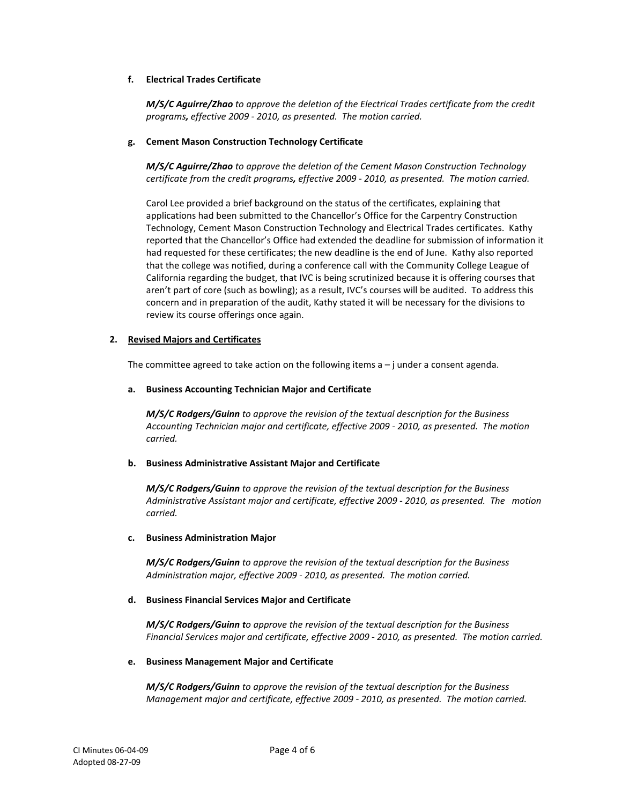# **f. Electrical Trades Certificate**

*M/S/C Aguirre/Zhao to approve the deletion of the Electrical Trades certificate from the credit programs, effective 2009 - 2010, as presented. The motion carried.*

### **g. Cement Mason Construction Technology Certificate**

*M/S/C Aguirre/Zhao to approve the deletion of the Cement Mason Construction Technology certificate from the credit programs, effective 2009 - 2010, as presented. The motion carried.*

Carol Lee provided a brief background on the status of the certificates, explaining that applications had been submitted to the Chancellor's Office for the Carpentry Construction Technology, Cement Mason Construction Technology and Electrical Trades certificates. Kathy reported that the Chancellor's Office had extended the deadline for submission of information it had requested for these certificates; the new deadline is the end of June. Kathy also reported that the college was notified, during a conference call with the Community College League of California regarding the budget, that IVC is being scrutinized because it is offering courses that aren't part of core (such as bowling); as a result, IVC's courses will be audited. To address this concern and in preparation of the audit, Kathy stated it will be necessary for the divisions to review its course offerings once again.

# **2. Revised Majors and Certificates**

The committee agreed to take action on the following items  $a - j$  under a consent agenda.

### **a. Business Accounting Technician Major and Certificate**

*M/S/C Rodgers/Guinn to approve the revision of the textual description for the Business Accounting Technician major and certificate, effective 2009 - 2010, as presented. The motion carried.*

# **b. Business Administrative Assistant Major and Certificate**

*M/S/C Rodgers/Guinn to approve the revision of the textual description for the Business Administrative Assistant major and certificate, effective 2009 - 2010, as presented. The motion carried.*

# **c. Business Administration Major**

*M/S/C Rodgers/Guinn to approve the revision of the textual description for the Business Administration major, effective 2009 - 2010, as presented. The motion carried.*

# **d. Business Financial Services Major and Certificate**

*M/S/C Rodgers/Guinn to approve the revision of the textual description for the Business Financial Services major and certificate, effective 2009 - 2010, as presented. The motion carried.*

### **e. Business Management Major and Certificate**

*M/S/C Rodgers/Guinn to approve the revision of the textual description for the Business Management major and certificate, effective 2009 - 2010, as presented. The motion carried.*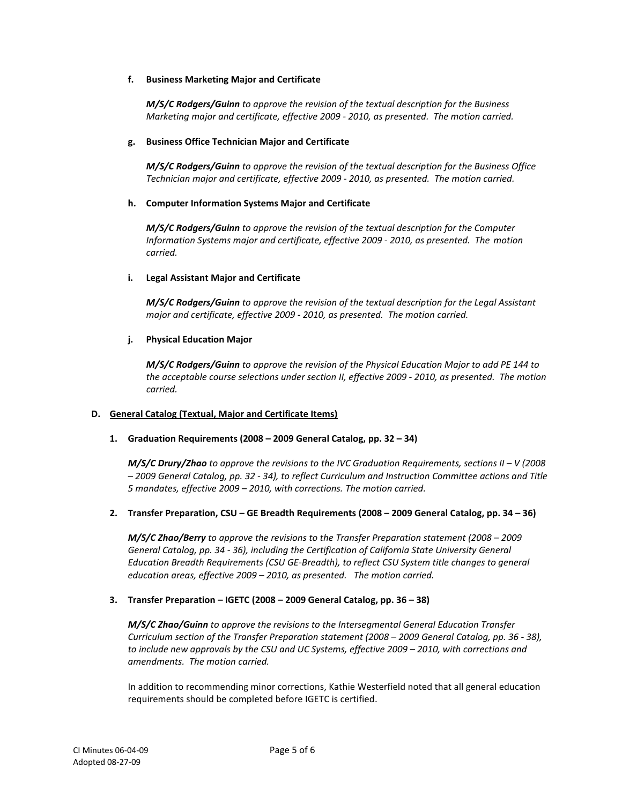# **f. Business Marketing Major and Certificate**

*M/S/C Rodgers/Guinn to approve the revision of the textual description for the Business Marketing major and certificate, effective 2009 - 2010, as presented. The motion carried.*

### **g. Business Office Technician Major and Certificate**

*M/S/C Rodgers/Guinn to approve the revision of the textual description for the Business Office Technician major and certificate, effective 2009 - 2010, as presented. The motion carried.*

### **h. Computer Information Systems Major and Certificate**

*M/S/C Rodgers/Guinn to approve the revision of the textual description for the Computer Information Systems major and certificate, effective 2009 - 2010, as presented. The motion carried.*

### **i. Legal Assistant Major and Certificate**

*M/S/C Rodgers/Guinn to approve the revision of the textual description for the Legal Assistant major and certificate, effective 2009 - 2010, as presented. The motion carried.*

### **j. Physical Education Major**

*M/S/C Rodgers/Guinn to approve the revision of the Physical Education Major to add PE 144 to the acceptable course selections under section II, effective 2009 - 2010, as presented. The motion carried.*

# **D. General Catalog (Textual, Major and Certificate Items)**

# **1. Graduation Requirements (2008 – 2009 General Catalog, pp. 32 – 34)**

*M/S/C Drury/Zhao to approve the revisions to the IVC Graduation Requirements, sections II – V (2008 – 2009 General Catalog, pp. 32 - 34), to reflect Curriculum and Instruction Committee actions and Title 5 mandates, effective 2009 – 2010, with corrections. The motion carried.*

# **2. Transfer Preparation, CSU – GE Breadth Requirements (2008 – 2009 General Catalog, pp. 34 – 36)**

*M/S/C Zhao/Berry to approve the revisions to the Transfer Preparation statement (2008 – 2009 General Catalog, pp. 34 - 36), including the Certification of California State University General Education Breadth Requirements (CSU GE-Breadth), to reflect CSU System title changes to general education areas, effective 2009 – 2010, as presented. The motion carried.*

# **3. Transfer Preparation – IGETC (2008 – 2009 General Catalog, pp. 36 – 38)**

*M/S/C Zhao/Guinn to approve the revisions to the Intersegmental General Education Transfer Curriculum section of the Transfer Preparation statement (2008 – 2009 General Catalog, pp. 36 - 38), to include new approvals by the CSU and UC Systems, effective 2009 – 2010, with corrections and amendments. The motion carried.*

In addition to recommending minor corrections, Kathie Westerfield noted that all general education requirements should be completed before IGETC is certified.